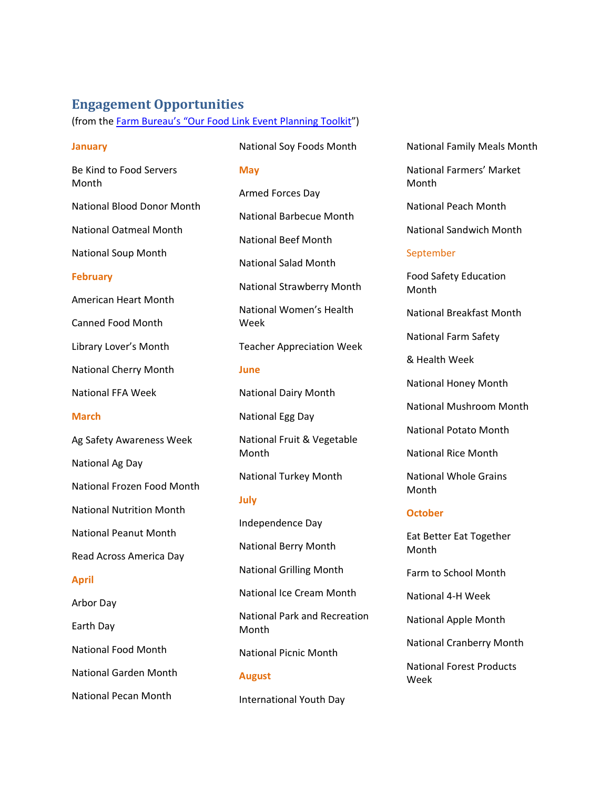# **Engagement Opportunities**

(from the [Farm Bureau's "Our Food Link](https://www.fb.org/files/2017_Our_Food_Link_Planning_Toolkit.pdf) Event Planning Toolkit")

#### **January**

Be Kind to Food Servers Month National Blood Donor Month National Oatmeal Month National Soup Month

## **February**

American Heart Month

Canned Food Month

Library Lover's Month

National Cherry Month

National FFA Week

### **March**

Ag Safety Awareness Week

National Ag Day

National Frozen Food Month

National Nutrition Month

National Peanut Month

Read Across America Day

#### **April**

Arbor Day

Earth Day

National Food Month

National Garden Month

National Pecan Month

**May** Armed Forces Day National Barbecue Month National Beef Month National Salad Month National Strawberry Month National Women's Health Week Teacher Appreciation Week **June** National Dairy Month National Egg Day National Fruit & Vegetable Month

National Soy Foods Month

National Turkey Month

#### **July**

Independence Day National Berry Month National Grilling Month National Ice Cream Month National Park and Recreation Month National Picnic Month **August**

International Youth Day

National Family Meals Month

National Farmers' Market Month

National Peach Month

National Sandwich Month

## September

Food Safety Education Month

National Breakfast Month

National Farm Safety

& Health Week

National Honey Month

National Mushroom Month

National Potato Month

National Rice Month

National Whole Grains Month

#### **October**

Eat Better Eat Together Month

Farm to School Month

National 4-H Week

National Apple Month

National Cranberry Month

National Forest Products Week